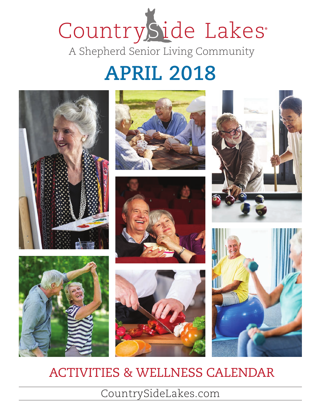# CountrySide Lakes A Shepherd Senior Living Community

### **APRIL 2018**













### ACTIVITIES & WELLNESS CALENDAR

CountrySideLakes.com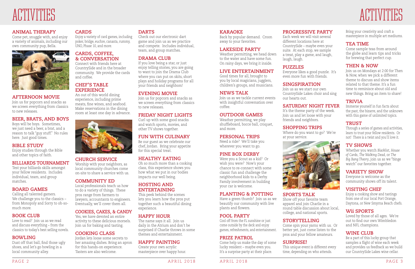# ACTIVITES

#### **ANIMAL THERAPY**

Come pet, snuggle with, and enjoy a variety of animals, including our own community pup, Bella.



#### **AFTERNOON MOVIE**

Join us for popcorn and snacks as we screen everything from classics to new releases.

#### **BEER, BRATS, AND BOYS**

Boys will be boys. Sometimes, we just need a beer, a brat, and a reason to talk "guy stuff." No rules here. Just good times.

#### **BIBLE STUDY**

Enjoy studies through the Bible and other topics of faith.

#### **BILLIARDS TOURNAMENT**

Test your billiards skills amongst your fellow residents. Includes individual, team, and group matches.

#### **BOARD GAMES**

Calling all talented gamers. We challenge you to the classics – from Monopoly and Sorry to oh-somuch more.

#### **BOOK CLUB**

Love to read? Join us as we read and discuss everything – from the classics to today's best selling novels.

#### **BOWLING**

Dust off that ball, find those ugly shoes, and let's go bowling in a local community alley.

#### **CARDS**

Enjoy a variety of card games, including poker, bridge, euchre, canasta, rummy, UNO, Phase 10, and more.

#### **CARDS, COFFEE, & CONVERSATION**

Connect with friends here at CountrySide and in the broader community. We provide the cards and coffee.

#### **CHEF'S TABLE EXPERIENCE**

An out of this world dining experience, including prime meats, fine wines, and seafood. Make reservations in the dining room at least one day in advance.



#### **CHURCH SERVICE**

Worship with your neighbors, as local community churches come on-site to share a service with us.

#### **COMMUNITY ED**

Local professionals teach us how to do a variety of things. These pros range from farmers to lawyers, accountants to engineers. Eventually, we'll cover them all.

#### **COOKIES, CAKES, & CANDY**

Yes, we have devoted an entire activity to these delicious morsels. Join us for baking and tasting.

#### **COOKING CLASS**

Jordan lets loose some secrets to her amazing dishes. Bring an apron for this hands-on experience. Tasters are also welcome.

#### **DARTS**

Check out our electronic dart game and join us as we practice and compete. Includes individual, team, and group matches.

#### **DRAMA CLUB**

If you love being a star, or just enjoy telling stories, you are going to want to join the Drama Club where you can put on skits, short plays and holiday programs for all your friends and neighbors!

#### **EVENING MOVIE**

Join us for popcorn and snacks as we screen everything from classics to new releases.

#### **FRIDAY NIGHT LIGHTS**

Curl up with some good snacks and watch sports, movies, and other TV shows together.

#### **FUN WITH CULINARY**

Be our guest as we celebrate our chef, Jordan. Bring your appetite for this special treat.

#### **HEALTHY EATING**

Oh so much more than a cooking class, this experience shows you how what we put in our bodies impacts our well being.

#### **HOSTING AND ENTERTAINING**

This peek behind the scenes lets you learn how the pros put together such a beautiful dining experience.

#### **HAPPY HOUR**

The name says it all. Join us daily in the Atrium and don't be surprised if Charlie throws in some themes and entertainment.

#### **HAPPY PAINTING**

Create your own acrylic masterpiece over happy hour.

#### PAGE 2 APRIL 2018 APRIL 2018 PAGE 3

Back by popular demand. Croon away to your favorites.

#### **LAKESIDE PARTY**

Weather permitting, we head down to the water and have some fun. On rainy days, we bring it inside.

#### **LIVE ENTERTAINMENT**

Good times for all, brought to you by local magicians, jugglers, children's groups, and musicians.

#### **NEWS TALK**

Join us as we tackle current events with insightful conversation over coffee.

#### **OUTDOOR GAMES**

Weather permitting, we play shuffleboard, bocce ball, croquet, and more.

#### **PERSONAL TRIPS**

Need a ride? We'll take you wherever you want to go.

#### **PINE BOX DERBY**

Were you a Scout as a kid? Or wish you were? Now's your chance to re-connect with some classic fun and challenge the neighborhood kids to a Derby. Family involvement in building your car is welcome.

#### **PLANTING & POTTING**

Have a green thumb? Join us as we beautify our community with live plants and flowers.

#### **POOL PARTY**

Cool off from the FL sunshine or just come outside by the deck and enjoy games, refreshments, and entertainment.

#### **PRIZE PATROL**

Come help us make the day of some lucky resident – maybe even you. It's a surprise party at their place.

#### **PROGRESSIVE PARTY**

Each week we will visit several different locations here at CountrySide – maybe even your suite. At each stop, we sample a treat, play a game, and laugh, laugh, laugh.

#### **PUZZLES**

Everyone likes a good puzzle. It's even more fun with friends.

#### **SINGSPIRATION**

# ALTIVITES

Join us as we start our own CountrySide Lakes choir and sing our hearts out. **SATURDAY NIGHT FEVER** It's the theme party of the week. Join us and let loose with your friends and neighbors. **SHOPPING TRIPS**



Where do you want to go? We're at your service.



**SPORTS TALK** Show off your favorite team apparel and join Charlie in a round table discussion about local, college, and national sports.

#### **STORYTELLING**

Come spin your yarns with us. Or better yet, just come listen to the pros and your fellow amateurs.

#### **SURPRISE!**

This unique event is different every time, depending on who attends.



Bring your creativity and craft a masterpiece in multiple art mediums.

#### **TEA TIME**

Come sample teas from around the globe and learn tips and tricks for brewing that perfect cup.

#### **THEN & NOW**

Join us on Mondays at 2:00 for Then & Now, when we pick a different theme to discuss and show items related to that theme. It's a fun time to reminisce about old and new things. Bring an item to share!

#### **TRIVIA**

Immerse yourself in fun facts about the past, the bizarre, and the unknown with this game of unlimited topics.

#### **TRUST**

Through a series of games and activities, learn to trust your fellow residents. Or not! There is a twist and you'll love it.

#### **TV SHOWS**

Whether you watch *Blacklist*, *House of Cards*, *The Walking Dead*, or *The Big Bang Theory*, join us as we "binge watch" our favorites together.

#### **VARIETY SHOW**

Everyone is welcome as the community shows off its talent.

#### **VISITING CHEF**

Enjoy a cooking show and tastings from one of our local Port Orange, Daytona, or New Smyrna Beach chefs.

#### **Wii SPORTS**

Loved by those of all ages. We're out to find our own Wimbledon and NFL champions.

#### **WINE CLUB**

Be a part of this lucky group that samples a flight of wine each week and provides us feedback as we build our CountrySide Lakes wine cellar.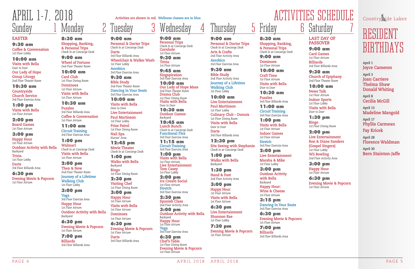CountrySide Lakes

## RESIDENT BIRTHDAYS

**April 1 Joyce Cameron**

**April 3 Joan Carriere Thelma Shaw Donald Whiting**

**April 8 Cecilia McGill**

**April 13 Madeline Mangold**

**April 17 Phyllis Carmean**

**Fay Kricek** 

**April 28 Florence Waldman**

**April 30 Bern Stainton-Jaffe**

# **Saturday**

#### 8:30 am **Shopping, Banking, & Personal Trips**

*Check In at Concierge Desk* 9:00 am

**Dominoes** *1st Floor Atrium*

10:00 am **Craft Time**

*1st Floor Atrium* **Visits with Bella** *Door to Door*

10:30 am **Puzzles**

*3rd Floor Billiards Area* 11:00 am

**Circuit Training**  *3rd Floor Exercise Area*

1:00 pm **Visits with Bella**

*1st Floor Atrium* **Indoor Games**

*1st Floor Atrium* **Stretch**

*3rd Floor Exercise Area* 2:00 pm

**Live Entertainment Marsha & Mike** *1st Floor Lobby*

3:00 pm **Outdoor Activity with Bella**

### **hursday** 9:00 am

*Backyard* **Happy Hour: Wine & Cheese**

*1st Floor Atrium* 3:15 pm **Dancing In Your Seats**

*3rd Floor Exercise Area* 6:30 pm **Evening Movie & Popcorn** *1st Floor Atrium*

7:00 pm **Billiards** *3rd Floor Billiards Area*

#### **LAST DAY OF PASSOVER**

9:00 am **Card Games** *1st Floor Atrium* **Billiards**

*3rd Floor Billiards Area* 9:30 am

**Church of Epiphany** *2nd Floor Theater Room*

10:00 am

**News Talk** *1st Floor Atrium* **Indoor Sports** *1st Floor Lobby* **Visits with Bella** *Door to Door*

1:30 pm **Bingo** *1st Floor Dining Room*

2:00 pm **Live Entertainment**

**Ron & Diane Sanders (Gospel Singers)** *1st Floor Lobby* **Wii Bowling** *2nd Floor Activity Area*

3:00 pm **Happy Hour** *1st Floor Atrium*

6:30 pm **Evening Movie & Popcorn** *1st Floor Atrium*

**Personal & Doctor Trips** *Check In at Concierge Desk* **Arts & Crafts** *2nd Floor Activity Area*

**Aerobics** *3rd Floor Exercise Area*

9:30 am

**Bible Study** *2nd Floor Activity Area* **Journey of a Lifetime Walking Club** *1st Floor Lobby*

10:00 am **Live Entertainment Paul Martinson** *1st Floor Lobby*

**Culinary Club – Donuts** *1st Floor Dining Room* **Visits with Bella** *Door to Door*

**Darts** *3rd Floor Billiards Area*

12:30 pm **Site Seeing with Stephanie** *Check In at Concierge Desk*

1:00 pm **Walks with Bella** *Backyard*

1:30 pm **Hand & Foot** *2nd Floor Activity Area*

3:00 pm **Happy Hour** *1st Floor Atrium*

**Visits with Bella** *1st Floor Atrium*

6:30 pm **Live Entertainment Shannon Rae** *1st Floor Lobby*

### Monday 8:30 am

7:30 pm **Evening Movie & Popcorn** *1st Floor Atrium*

### Wednesday 4

9:00 am **Personal Trips** *Check In at Concierge Desk* **Cornhole** *1st Floor Atrium*

9:30 am **Trivia**

*1st Floor Atrium*  9:45 am

**Singspiration** *3rd Floor Exercise Area*

10:00 am **Our Lady of Hope Mass** *2nd Floor Theater Room* **Drama Club** *1st Floor Dining Room* **Visits with Bella** *Door to Door*

10:30 am **Outdoor Games**  *Backyard*

10:45 am **Lunch Bunch** *Check In at Concierge Desk* **Functional Flex** *3rd Floor Exercise Area*

## Sunday APRIL 1-7, 2018 **Activities are shown in red. Wellness classes are in blue.** ACTIVITIES SCHEDULE

11:15 am **Circuit Training** *3rd Floor Exercise Area*

1:00 pm **Visits with Bella** *1st Floor Atrium* **Live Entertainment**

**Tom Casey**

*1st Floor Lobby* 2:00 pm **Ice Cream Social** *1st Floor Atrium* **Stretch**

*3rd Floor Exercise Area* 2:30 pm **Spanish Class**

*2nd Floor Activity Area* 3:00 pm

**Outdoor Activity with Bella** *Backyard* **Happy Hour** *1st Floor Atrium* **Yoga** *3rd Floor Exercise Area*

6:30 pm **Chef's Table** *1st Floor Dining Room* **Evening Movie & Popcorn** *1st Floor Atrium*

#### **EASTER**

9:30 am **Coffee & Conversation** *1st Floor Lobby*

#### 10:00 am

**Visits with Bella** *Door to Door* **Our Lady of Hope Group Liturgy** *2nd Floor Theater Room*

10:30 am

**Countryside Church Service**  *3rd Floor Exercise Area*

1:00 pm **Visits with Bella** *1st Floor Atrium*

2:00 pm **Board Games** *1st Floor Atrium*

3:00 pm **Happy Hour**

*1st Floor Atrium* **Outdoor Activity with Bella** *Backyard* **Trivia** *1st Floor Lobby*

**Darts** *3rd Floor Billiards Area*

6:30 pm **Evening Movie & Popcorn** *1st Floor Atrium*

9:00 am

**Personal & Doctor Trips** *Check In at Concierge Desk*

**Darts**

*3rd Floor Billiards Area*

**Wheelchair & Walker Wash**

*1st Floor Lobby* **Aerobics**

*3rd Floor Exercise Area* 9:30 am **Bible Study** *2nd Floor Theater Room* **Dancing in Your Seats** *3rd Floor Exercise Area* 10:00 am **Visits with Bella**

*Door to Door*

**Live Entertainment Paul Martinson** *1st Floor Lobby* **Prize Patrol** *1st Floor Dining Room*

**Nail Spa** *Nurses' Area* 12:45 pm **Movie Theater** *Check In at Concierge Desk*

1:00 pm **Walks with Bella**

*Backyard* **Bingo**

*1st Floor Dining Room* 2:30 pm **Visiting Chef** *1st Floor Dining Room* 3:00 pm **Happy Hour** *1st Floor Atrium* **Visits with Bella** *1st Floor Atrium* **Dominoes** *1st Floor Atrium* 6:30 pm

**Evening Movie & Popcorn**

*1st Floor Atrium*

**Darts**

*3rd Floor Billiards Area*

**Shopping, Banking, & Personal Trips**  *Check In at Concierge Desk*

9:00 am **Wheel of Fortune** *2nd Floor Theater Room*

10:00 am

**Card Club** *1st Floor Dining Room* **Dominoes** *1st Floor Atrium* **Visits with Bella** *1st Floor Atrium*

10:30 am

**Puzzles** *3rd Floor Billiards Area* **Coffee & Conversation** *1st Floor Atrium*

11:00 am **Circuit Training** *3rd Floor Exercise Area*

1:00 pm **Walmart** *Check In at Concierge Desk* **Visits with Bella** *1st Floor Atrium*

2:00 pm **Then & Now** *2nd Floor Theater Room* **Journey of a Lifetime Walking Club** *1st Floor Lobby*

3:00 pm **Yoga**

*3rd Floor Exercise Area* **Happy Hour** *1st Floor Atrium* **Outdoor Activity with Bella** *Backyard*

6:30 pm **Evening Movie & Popcorn** *1st Floor Atrium*

7:00 pm **Billiards** *3rd Floor Billiards Area*

uesdav

PAGE 4 APRIL 2018 APRIL 2018 PAGE 5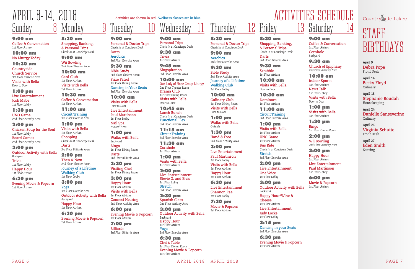CountrySide Lakes

## STAFF BIRTHDAYS

**April 14 Becky Floyd Culinary** 

**April 9 Debra Pope** Front Desk

**April 18 Stephanie Boudah** Housekeeping

**April 24 Danielle Sanseverino** Culinary

**April 26 Virginia Schutte** Front Desk

**April 27 Eden Smith** Nursing



#### 8:30 am **Shopping, Banking, & Personal Trips**  *Check In at Concierge Desk*

**Darts** *3rd Floor Billiards Area*

9:30 am **Scrabble** *1st Floor Atrium*

10:00 am **Visits with Bella** *Door to Door*

10:30 am **Dominoes** *1st Floor Atrium*

11:00 am **Circuit Training**  *3rd Floor Exercise Area*

1:00 pm **Visits with Bella** *1st Floor Atrium*

**UNO Game** *1st Floor Atrium*

**Bus Ride** *Check In at Concierge Desk* **Stretch** *3rd Floor Exercise Area*

2:00 pm **Live Entertainment One Voice** *1st Floor Lobby*

3:00 pm **Outdoor Activity with Bella** *Backyard* **Happy Hour/Wine & Cheese** *1st Floor Atrium* **Live Entertainment Judy Locke** *1st Floor Lobby*

3:15 pm **Dancing in your Seats** *3rd Floor Exercise Area*

6:30 pm **Evening Movie & Popcorn** *1st Floor Atrium*

9:00 am **Coffee & Conversation** *1st Floor Atrium* **Cornhole**  *Backyard*

9:30 am **Church of Epiphany** *2nd Floor Activity Area*

10:00 am **Indoor Sports**

*1st Floor Atrium* **News Talk** *1st Floor Lobby* **Visits with Bella**

*Door to Door*

1:00 pm **Visits with Bella** *1st Floor Atrium*

1:30 pm **Bingo** *1st Floor Dining Room*

2:00 pm **Wii Bowling** *2nd Floor Activity Area*

3:00 pm **Happy Hour** *1st Floor Atrium* **Live Entertainment Paul Martinson** *1st Floor Lobby*

6:00 pm **Movie & Popcorn** *1st Floor Atrium*

8:30 am **Personal & Doctor Trips** *Check In at Concierge Desk*

9:00 am **Aerobics** *3rd Floor Exercise Area*

Thursday

9:30 am **Bible Study** *2nd Floor Activity Area* **Journey of a Lifetime Walking Club**

*1st Floor Lobby* 10:00 am **Culinary Club** *1st Floor Dining Room* **Visits with Bella** *Door to Door*

1:00 pm **Walks with Bella** *Outside*

1:30 pm **Hand & Foot** *2nd Floor Activity Area*

3:00 pm **Live Entertainment Paul Martinson** *1st Floor Lobby* **Visits with Bella** *1st Floor Atrium*

**Happy Hour** *1st Floor Atrium*

6:30 pm **Live Entertainment**

**Shannon Rae** *1st Floor Lobby*

7:30 pm **Movie & Popcorn** *1st Floor Atrium*

9:00 am **Personal Trips** *Check In at Concierge Desk*

9:30 am **Trivia** *1st Floor Atrium*

9:45 am **Singspiration** *3rd Floor Exercise Area* 

10:00 am **Our Lady of Hope Group Liturgy** *2nd Floor Theater Room* **Drama Club** *1st Floor Dining Room* **Visits with Bella** *Door to Door*

10:45 am **Lunch Bunch** *Check In at Concierge Desk* **Functional Flex** *3rd Floor Exercise Area*

### Sunday Monday APRIL 8-14, 2018 **Activities are shown in red. Wellness classes are in blue.** ACTIVITIES SCHEDULE

11:15 am **Circuit Training** *3rd Floor Exercise Area*

11:30 am **Cornhole** *1st Floor Atrium*

1:00 pm **Visits with Bella** *1st Floor Atrium*

2:00 pm **Live Entertainment Stevie G. and Elvis** *1st Floor Lobby* **Stretch** *3rd Floor Exercise Area*

2:30 pm **Spanish Class** *2nd Floor Activity Area*

3:00 pm **Outdoor Activity with Bella** *Backyard* **Happy Hour** *1st Floor Atrium* **Yoga** *3rd Floor Exercise Area*

6:30 pm **Chef's Table** *1st Floor Dining Room* **Evening Movie & Popcorn** *1st Floor Atrium*

9:00 am **Coffee & Conversation** *1st Floor Atrium*

#### 10:00 am **No Liturgy Today**

10:30 am **Countryside Church Service** *3rd Floor Exercise Area* **Visits with Bella** *Door to Door*

1:00 pm **Live Entertainment Josh Mabe** *1st Floor Lobby*

1:30 pm **UNO Game** *2nd Floor Activity Area*

2:00 pm **Chicken Soup for the Soul** *1st Floor Lobby* **Board Games** *2nd Floor Activity Area*

3:00 pm **Outdoor Activity with Bella**  *Backyard* **Trivia** *1st Floor Lobby* **Happy Hour** *1st Floor Atrium* 6:30 pm

**Evening Movie & Popcorn** *1st Floor Atrium*

9:00 am

**Personal & Doctor Trips** *Check In at Concierge Desk*

**Darts Aerobics**

*3rd Floor Exercise Area* 9:30 am **Bible Study** *2nd Floor Theater Room* **Prize Patrol** *1st Floor Dining Room* **Dancing in Your Seats** *3rd Floor Exercise Area* 10:00 am **Visits with Bella**

*Door to Door*

**Live Entertainment Paul Martinson** *1st Floor Lobby* **Nail Spa** *Nurses' Area* 1:00 pm **Walks with Bella**

### Wednesday

*Backyard* **Bingo**

*1st Floor Dining Room*

**Darts**

*3rd Floor Billiards Area*

2:30 pm **Visiting Chef** *1st Floor Dining Room* 3:00 pm **Happy Hour** *1st Floor Atrium* **Visits with Bella** *1st Floor Atrium* **Connect Hearing** *2nd Floor Activity Area*

6:00 pm

**Evening Movie & Popcorn**

*1st Floor Atrium* 7:00 pm **Billiards**

*3rd Floor Billiards Area*

8:30 am **Shopping, Banking, & Personal Trips**  *Check In at Concierge Desk*

#### 9:00 am **Wii Bowling**

*2nd Floor Theater Room*

10:00 am **Card Club** *1st Floor Atrium* **Visits with Bella** *1st Floor Atrium*

10:30 am **Coffee & Conversation** *1st Floor Atrium*

11:00 am **Circuit Training** *3rd Floor Exercise Area*

1:00 pm **Visits with Bella** *1st Floor Atrium* **Shopping** *Check In at Concierge Desk* **Darts** *3rd Floor Billiards Area*

2:00 pm **Then & Now**

*2nd Floor Theater Room* **Journey of a Lifetime Walking Club** *1st Floor Lobby*

3:00 pm

**Yoga** *3rd Floor Exercise Area* **Outdoor Activity with Bella** *Backyard* **Happy Hour** *1st Floor Atrium*

6:30 pm **Evening Movie & Popcorn** *1st Floor Atrium*

uesdav

PAGE 6 APRIL 2018 APRIL 2018 PAGE 7

Friday

# Saturday 14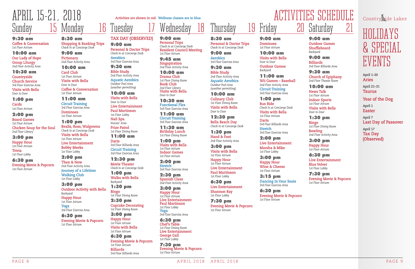HOLIDAYS & SPECIAL EVENTS

**April 1–20 Aries**

**April 21–31 Taurus**

**Year of the Dog**

**April 1 Easter**

**April 7 Last Day of Passover**

**April 17 Tax Day (Observed)**



#### 9:30 am **Coffee & Conversation** *1st Floor Atrium*

10:00 am **Our Lady of Hope Group Liturgy** *2nd Floor Activity Area*

#### 10:30 am

**Countryside Church Service** *3rd Floor Exercise Area* **Visits with Bella** *Door to Door*

1:00 pm

**Cards** *1st Floor Atrium*

#### 2:00 pm

**Board Games** *1st Floor Atrium* **Chicken Soup for the Soul** *2nd Floor Library*

#### 3:00 pm

**Happy Hour** *1st Floor Atrium* **Trivia**  *1st Floor Lobby*

#### 6:30 pm

**Evening Movie & Popcorn** *1st Floor Atrium*

**TAX DAY (OBSERVED)**

9:00 am

**Personal & Doctor Trips** *Check In at Concierge Desk*

**Aerobics**

*3rd Floor Exercise Area* 9:30 am **Bible Study** *2nd Floor Activity Area* **Aquatic Aerobics** *Outdoor Pool Area (weather permitting)* 10:00 am **Visits with Bella**

*Door to Door*

**Live Entertainment Paul Martinson** *1st Floor Lobby* **Nail Spa**  *Nurses' Area* **Prize Patrol** *1st Floor Dining Room* 11:00 am

**Darts**

*3rd Floor Billiards Area* **Circuit Training**  *3rd Floor Exercise Area* 12:30 pm **Movie Theater** *Check In at Concierge Desk*

1:00 pm **Walks with Bella**

*Backyard*

1:30 pm

**Bingo**

*1st Floor Dining Room* 2:30 pm

**Cupcake Decorating** *1st Floor Dining Room* 3:00 pm **Happy Hour** *1st Floor Atrium* **Visits with Bella** *1st Floor Atrium* 6:30 pm

**Evening Movie & Popcorn**

*1st Floor Atrium* **Billiards**

*3rd Floor Billiards Area*

### Wednesday 18

9:00 am **Personal Trips** *Check In at Concierge Desk* **Resident Council Meeting** *1st Floor Atrium* 

9:45 am **Singspiration** *2nd Floor Activity Area*

10:00 am **Drama Club** *1st Floor Dining Room* **Book Club** *2nd Floor Library* **Visits with Bella** *Door to Door*

Thursday 19 Friday 20

# Saturday 21

10:30 am **Functional Flex** *3rd Floor Exercise Area*

11:00 am **Circuit Training** *3rd Floor Exercise Area*

11:30 am **Birthday Lunch** *1st Floor Dining Room*

1:00 pm **Visits with Bella** *1st Floor Atrium* **Indoor Games** *1st Floor Atrium*

2:00 pm **Stretch** *3rd Floor Exercise Area*

2:30 pm **Spanish Class** *2nd Floor Activity Area*

3:00 pm **Happy Hour**

*1st Floor Atrium* **Live Entertainment Paul Martinson** *1st Floor Lobby* **Yoga** *3rd Floor Exercise Area*

6:30 pm **Chef's Table** *1st Floor Dining Room* **Live Entertainment George Gall** *1st Floor Lobby*

7:30 pm **Evening Movie & Popcorn** *1st Floor Atrium*

#### 8:30 am **Personal & Doctor Trips** *Check In at Concierge Desk*

9:00 am **Aerobics** *3rd Floor Exercise Area*

9:30 am **Bible Study**

*2nd Floor Activity Area* **Aquatic Aerobics** *Outdoor Pool Area (weather permitting)*

### Sunday 15 Monday APRIL 15-21, 2018 **Activities are shown in red. Wellness classes are in blue.** ACTIVITIES SCHEDULE

10:00 am **Culinary Club** *1st Floor Dining Room* **Visits with Bella** *Door to Door* 

12:30 pm **Bella Beach Day** *Check In at Concierge Desk*

1:30 pm **Hand & Foot** *2nd Floor Activity Area*

3:00 pm **Visits with Bella** *1st Floor Atrium*

**Happy Hour** *1st Floor Atrium* **Live Entertainment Paul Martinson** *1st Floor Lobby*

6:30 pm **Live Entertainment**

**Shannon Ray** *1st Floor Lobby*

7:30 pm **Evening Movie & Popcorn** *1st Floor Atrium*

9:00 am **Outdoor Games Shuffleboard** *Backyard*

9:00 am **Billiards** *3rd Floor Billiards Area*

9:30 am **Church of Epiphany** *2nd Floor Theater Room*

10:00 am

**News Talk** *1st Floor Atrium* **Indoor Sports** *1st Floor Atrium* **Visits with Bella** *Door to Door*

1:30 pm **Bingo** *1st Floor Dining Room*

**Bowling** *2nd Floor Activity Area*

3:00 pm **Happy Hour** *1st Floor Atrium*

6:30 pm **Live Entertainment Blue Velvet** *1st Floor Lobby*

7:30 pm **Evening Movie & Popcorn** *1st Floor Atrium*

CountrySide Lakes

#### 9:00 am **Dominoes** *1st Floor Atrium*

10:00 am **Visits with Bella** *Door to Door* **Outdoor Games** *Backyard*

11:00 am **Wii Games – Baseball** *2nd Floor Activity Area* **Circuit Training**  *3rd Floor Exercise Area*

1:00 pm

**Bus Ride** *Check In at Concierge Desk* **Visits with Bella** *1st Floor Atrium*

**Darts** *3rd Floor Billiards Area* **Stretch** *3rd Floor Exercise Area*

2:00 pm **Live Entertainment Marsha & Mike**

*1st Floor Lobby*

3:00 pm **Happy Hour Wine & Cheese** *1st Floor Atrium*

3:15 pm **Dancing In Your Seats** *3rd Floor Exercise Area*

6:30 pm **Evening Movie & Popcorn** *1st Floor Atrium*

#### 8:30 am **Shopping & Banking Trips**  *Check In at Concierge Desk*

9:00 am **Pictionary** *2nd Floor Activity Area*

10:00 am **Card Club** *1st Floor Atrium* **Visits with Bella** *Door to Door* **Coffee & Conversation** *1st Floor Atrium*

#### 11:00 am **Circuit Training**  *3rd Floor Exercise Area* **Dominoes** *1st Floor Atrium*

1:00 pm **Bealls, Ross, Walgreens** *Check In at Concierge Desk* **Visits with Bella** *1st Floor Atrium* **Live Entertainment Bobby Meeks** *1st Floor Lobby*

#### 2:00 pm **Then & Now**

*2nd Floor Activity Area* **Journey of a Lifetime Walking Club** *1st Floor Lobby*

3:00 pm **Outdoor Activity with Bella** *Backyard* **Happy Hour** *1st Floor Atrium* **Yoga** *3rd Floor Exercise Area*

6:30 pm **Evening Movie & Popcorn** *1st Floor Atrium*

uesday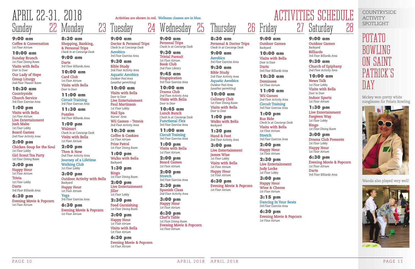PAGE 10 APRIL 2018 APRIL 2018 PAGE 11

#### 9:00 am **Coffee & Conversation**

*1st Floor Atrium*

#### 10:00 am

**Sunday Brunch** *1st Floor Dining Room* **Visits with Bella**

*Door to Door* **Our Lady of Hope** 

**Group Liturgy** *2nd Floor Theater Room*

10:30 am

**Countryside Church Service** *3rd Floor Exercise Area*

1:00 pm **Visits with Bella** *1st Floor Atrium* **Live Entertainment Josh Mabe**

*1st Floor Lobby* **Board Games** *2nd Floor Activity Area*

2:00 pm **Chicken Soup for the Soul** *1st Floor Lobby* **Girl Scout Tea Party** *1st Floor Dining Room*

#### 3:00 pm

**Happy Hour** *1st Floor Atrium* **Trivia** *1st Floor Lobby*

**Darts** *3rd Floor Billiards Area*

6:30 pm **Evening Movie & Popcorn** *1st Floor Atrium*

9:00 am

**Doctor & Personal Trips** *Check In at Concierge Desk*

**Aerobics**

### Wednesday 25

*3rd Floor Exercise Area*

9:30 am **Bible Study** *2nd Floor Activity Area* **Aquatic Aerobics** *Outdoor Pool Area (weather permitting)* 10:00 am **Visits with Bella** *Door to Door*

**Live Entertainment Paul Martinson** *1st Floor Lobby* **Nail Spa** *Nurses' Area*

### Thursday 26 Friday

**Wii Games – Tennis** *2nd Floor Activity Area* 10:30 am **Coffee & Cookies** *1st Floor Atrium* **Prize Patrol** *1st Floor Dining Room* 1:00 pm **Walks with Bella**

*Backyard*

1:30 pm

**Bingo**

*1st Floor Dining Room* 2:00 pm

**Live Entertainment**

**Jiller** *1st Floor Lobby* 2:30 pm **Food Garnishing** *1st Floor Dining Room* 3:00 pm **Happy Hour** *1st Floor Atrium* **Visits with Bella** *1st Floor Atrium* 6:30 pm

**Evening Movie & Popcorn**

*1st Floor Atrium*

9:00 am **Personal Trips** *Check In at Concierge Desk*

> 9:30 am **Trivial Pursuit** *1st Floor Atrium*

**Book Club** *2nd Floor Library*

9:45 am **Singspiration** *3rd Floor Exercise Area*

10:00 am **Drama Club** *2nd Floor Activity Area* **Visits with Bella** *Door to Door*

10:45 am **Lunch Bunch** *Check In at Concierge Desk* **Functional Flex** *3rd Floor Exercise Area*

11:00 am **Circuit Training** *3rd Floor Exercise Area*

1:00 pm **Visits with Bella** *1st Floor Atrium*

2:00 pm **Board Games** *1st Floor Atrium*

2:00 pm **Stretch** *3rd Floor Exercise Area*

2:30 pm **Spanish Class** *2nd Floor Activity Area*

3:00 pm **Happy Hour** *1st Floor Atrium*

6:30 pm **Chef's Table** *1st Floor Dining Room* **Evening Movie & Popcorn** *1st Floor Atrium*

8:30 am **Personal & Doctor Trips** *Check In at Concierge Desk*

9:00 am **Aerobics** *3rd Floor Exercise Area*



9:30 am **Bible Study** *2nd Floor Activity Area* **Aquatic Aerobics**

*Outdoor Pool Area (weather permitting)*

10:00 am **Culinary Club** *1st Floor Dining Room* **Visits with Bella** *Door to Door*

1:00 pm **Walks with Bella** *Backyard*

1:30 pm **Hand & Foot** *2nd Floor Activity Area*

3:00 pm **Live Entertainment James Wise** *1st Floor Lobby* **Visits with Bella** *1st Floor Atrium* **Happy Hour**

*1st Floor Atrium*

6:30 pm **Evening Movie & Popcorn** *1st Floor Atrium*

#### 9:00 am **Outdoor Games** *Backyard*

10:00 am **Visits with Bella** *Door to Door*

**Darts** *3rd Floor Billiards Area*

10:30 am

**Dominoes** *1st Floor Atrium*

11:00 am **Wii Games** 

*2nd Floor Activity Area* **Circuit Training**  *3rd Floor Exercise Area*

1:00 pm **Bus Ride** *Check In at Concierge Desk* **Visits with Bella** *1st Floor Atrium*

**Stretch** *3rd Floor Exercise Area*

2:00 pm **Happy Hour** *1st Floor Atrium*

2:30 pm **Live Entertainment Judy Locke** *1st Floor Lobby*

3:00 pm **Happy Hour**

#### **Wine & Cheese** *1st Floor Atrium* 3:15 pm

# Saturday 28

**Dancing In Your Seats** *3rd Floor Exercise Area*

6:30 pm **Evening Movie & Popcorn** *1st Floor Atrium*

#### 9:00 am **Outdoor Games** *Backyard* **Billiards**  *3rd Floor Billiards Area*

9:30 am **Church of Epiphany** *2nd Floor Activity Area*

#### 10:00 am

**News Talk** *1st Floor Lobby* **Visits with Bella** *Door to Door* **Indoor Sports**  *1st Floor Atrium*

#### 1:30 pm **Live Entertainment Forgiven Way** *1st Floor Lobby*

**Bingo** *1st Floor Dining Room*

#### 3:00 pm

**Drama Club Presents** *1st Floor Lobby*

**Happy Hour** *1st Floor Atrium*

#### 6:30 pm

**Evening Movie & Popcorn** *1st Floor Atrium* **Darts** *3rd Floor Billiards Area*

8:30 am **Shopping, Banking, & Personal Trips**  *Check In at Concierge Desk*

9:00 am **Darts**

*3rd Floor Billiards Area*

10:00 am **Card Club** *1st Floor Atrium* **Visits with Bella** *Door to Door*

11:00 am **Circuit Training**  *3rd Floor Exercise Area*

11:30 am **Puzzles** *3rd Floor Billiards Area*

1:00 pm **Walmart** *Check In at Concierge Desk* **Visits with Bella** *1st Floor Atrium*

2:00 pm **Then & Now** *2nd Floor Activity Area* **Journey of a Lifetime Walking Club** *1st Floor Lobby*

3:00 pm **Outdoor Activity with Bella**  *Backyard* **Happy Hour**

*1st Floor Atrium* **Yoga** *3rd Floor Exercise Area*

6:30 pm **Evening Movie & Popcorn** *1st Floor Atrium*

uesday

Mickey won pretty white sunglasses for Potato Bowling



Wanda also played very well!





### POTATO BOWLING ON SAINT PATRICK'S DAY

COUNTRYSIDE ACTIVITY SPOTLIGHT